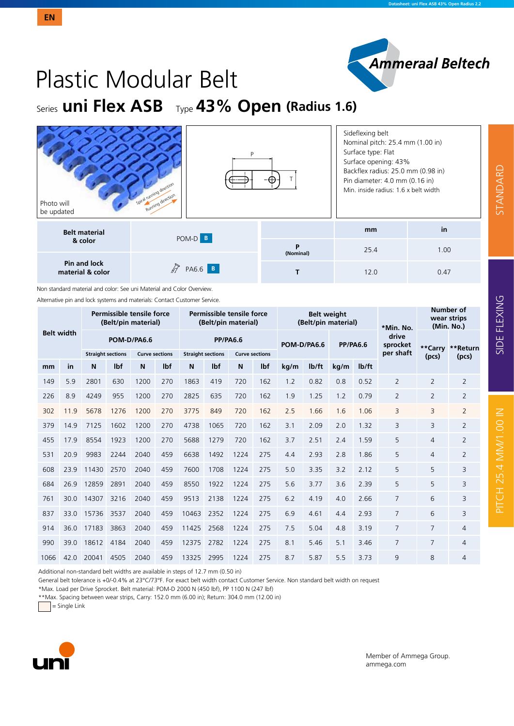

# Plastic Modular Belt

Series **uni Flex ASB** Type **43% Open (Radius 1.6)**

| Photo will<br>be updated         | Spiral running direction<br>Running direction |                | Sideflexing belt<br>Nominal pitch: 25.4 mm (1.00 in)<br>Surface type: Flat<br>Surface opening: 43%<br>Backflex radius: 25.0 mm (0.98 in)<br>Pin diameter: 4.0 mm (0.16 in)<br>Min. inside radius: 1.6 x belt width |      |
|----------------------------------|-----------------------------------------------|----------------|--------------------------------------------------------------------------------------------------------------------------------------------------------------------------------------------------------------------|------|
| <b>Belt material</b>             | POM-D B                                       |                | mm                                                                                                                                                                                                                 | in   |
| & color                          |                                               | P<br>(Nominal) | 25.4                                                                                                                                                                                                               | 1.00 |
| Pin and lock<br>material & color | h7<br>PA6.6 B                                 |                | 12.0                                                                                                                                                                                                               | 0.47 |

Non standard material and color: See uni Material and Color Overview.

Alternative pin and lock systems and materials: Contact Customer Service.

| <b>Belt width</b> |      |                          |      | Permissible tensile force<br>(Belt/pin material) |     |                          |      | Permissible tensile force<br>(Belt/pin material) |     |             | <b>Belt weight</b><br>(Belt/pin material) |                 |       | *Min. No.         | Number of<br>wear strips<br>(Min. No.) |                  |  |
|-------------------|------|--------------------------|------|--------------------------------------------------|-----|--------------------------|------|--------------------------------------------------|-----|-------------|-------------------------------------------|-----------------|-------|-------------------|----------------------------------------|------------------|--|
|                   |      | POM-D/PA6.6              |      |                                                  |     | <b>PP/PA6.6</b>          |      |                                                  |     | POM-D/PA6.6 |                                           | <b>PP/PA6.6</b> |       | drive<br>sprocket |                                        | **Carry **Return |  |
|                   |      | <b>Straight sections</b> |      | <b>Curve sections</b>                            |     | <b>Straight sections</b> |      | <b>Curve sections</b>                            |     |             |                                           |                 |       | per shaft         | (pcs)                                  | (pcs)            |  |
| mm                | in   | N                        | Ibf  | N                                                | Ibf | N                        | lbf  | N                                                | lbf | kg/m        | lb/ft                                     | kg/m            | lb/ft |                   |                                        |                  |  |
| 149               | 5.9  | 2801                     | 630  | 1200                                             | 270 | 1863                     | 419  | 720                                              | 162 | 1.2         | 0.82                                      | 0.8             | 0.52  | 2                 | $\overline{2}$                         | $\overline{2}$   |  |
| 226               | 8.9  | 4249                     | 955  | 1200                                             | 270 | 2825                     | 635  | 720                                              | 162 | 1.9         | 1.25                                      | 1.2             | 0.79  | $\overline{2}$    | $\overline{2}$                         | $\overline{2}$   |  |
| 302               | 11.9 | 5678                     | 1276 | 1200                                             | 270 | 3775                     | 849  | 720                                              | 162 | 2.5         | 1.66                                      | 1.6             | 1.06  | 3                 | 3                                      | $\overline{2}$   |  |
| 379               | 14.9 | 7125                     | 1602 | 1200                                             | 270 | 4738                     | 1065 | 720                                              | 162 | 3.1         | 2.09                                      | 2.0             | 1.32  | 3                 | 3                                      | $\overline{2}$   |  |
| 455               | 179  | 8554                     | 1923 | 1200                                             | 270 | 5688                     | 1279 | 720                                              | 162 | 3.7         | 2.51                                      | 2.4             | 1.59  | 5                 | $\overline{4}$                         | $\overline{2}$   |  |
| 531               | 20.9 | 9983                     | 2244 | 2040                                             | 459 | 6638                     | 1492 | 1224                                             | 275 | 4.4         | 2.93                                      | 2.8             | 1.86  | 5                 | 4                                      | $\overline{2}$   |  |
| 608               | 23.9 | 11430                    | 2570 | 2040                                             | 459 | 7600                     | 1708 | 1224                                             | 275 | 5.0         | 3.35                                      | 3.2             | 2.12  | 5                 | 5                                      | 3                |  |
| 684               | 26.9 | 12859                    | 2891 | 2040                                             | 459 | 8550                     | 1922 | 1224                                             | 275 | 5.6         | 3.77                                      | 3.6             | 2.39  | 5                 | 5                                      | 3                |  |
| 761               | 30 Q | 14307                    | 3216 | 2040                                             | 459 | 9513                     | 2138 | 1224                                             | 275 | 6.2         | 4.19                                      | 4.0             | 2.66  | 7                 | 6                                      | 3                |  |
| 837               | 33.0 | 15736                    | 3537 | 2040                                             | 459 | 10463                    | 2352 | 1224                                             | 275 | 6.9         | 4.61                                      | 4.4             | 2.93  | 7                 | 6                                      | 3                |  |
| 914               | 36 O | 17183                    | 3863 | 2040                                             | 459 | 11425                    | 2568 | 1224                                             | 275 | 7.5         | 5.04                                      | 4.8             | 3.19  | 7                 | $\overline{7}$                         | 4                |  |
| 990               | 39.0 | 18612                    | 4184 | 2040                                             | 459 | 12375                    | 2782 | 1224                                             | 275 | 8.1         | 5.46                                      | 5.1             | 3.46  | $\overline{7}$    | $\overline{7}$                         | 4                |  |
| 1066              | 42.0 | 20041                    | 4505 | 2040                                             | 459 | 13325                    | 2995 | 1224                                             | 275 | 8.7         | 5.87                                      | 5.5             | 3.73  | 9                 | 8                                      | 4                |  |

Additional non-standard belt widths are available in steps of 12.7 mm (0.50 in)

General belt tolerance is +0/-0.4% at 23°C/73°F. For exact belt width contact Customer Service. Non standard belt width on request

\*Max. Load per Drive Sprocket. Belt material: POM-D 2000 N (450 lbf), PP 1100 N (247 lbf)

\*\*Max. Spacing between wear strips, Carry: 152.0 mm (6.00 in); Return: 304.0 mm (12.00 in)

 $=$  Single Link



Member of Ammega Group. ammega.com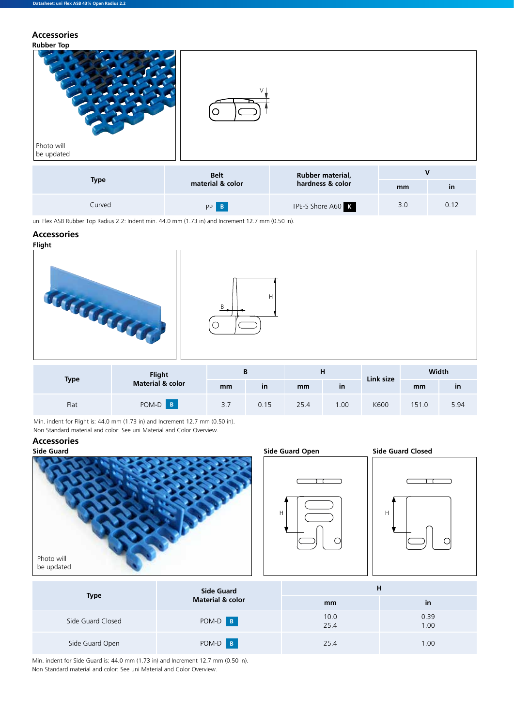**Accessories**



Curved **PP B** TPE-S Shore A60 **K** 3.0 0.12

uni Flex ASB Rubber Top Radius 2.2: Indent min. 44.0 mm (1.73 in) and Increment 12.7 mm (0.50 in).

#### **Accessories**





|      |                                                                               | ------- |      | ------- |      |      | ------- | ----- |
|------|-------------------------------------------------------------------------------|---------|------|---------|------|------|---------|-------|
| Flat | POM-D B                                                                       | 3.7     | 0.15 | 25.4    | l.00 | K600 | 151.0   | 5.94  |
|      | Min. indent for Flight is: 44.0 mm (1.73 in) and Increment 12.7 mm (0.50 in). |         |      |         |      |      |         |       |

Non Standard material and color: See uni Material and Color Overview.

## **Accessories**





|                   | <b>Side Guard</b>           | н            |              |  |  |  |
|-------------------|-----------------------------|--------------|--------------|--|--|--|
| <b>Type</b>       | <b>Material &amp; color</b> | mm           | in           |  |  |  |
| Side Guard Closed | POM-D B                     | 10.0<br>25.4 | 0.39<br>1.00 |  |  |  |
| Side Guard Open   | POM-D B                     | 25.4         | 1.00         |  |  |  |

Min. indent for Side Guard is: 44.0 mm (1.73 in) and Increment 12.7 mm (0.50 in). Non Standard material and color: See uni Material and Color Overview.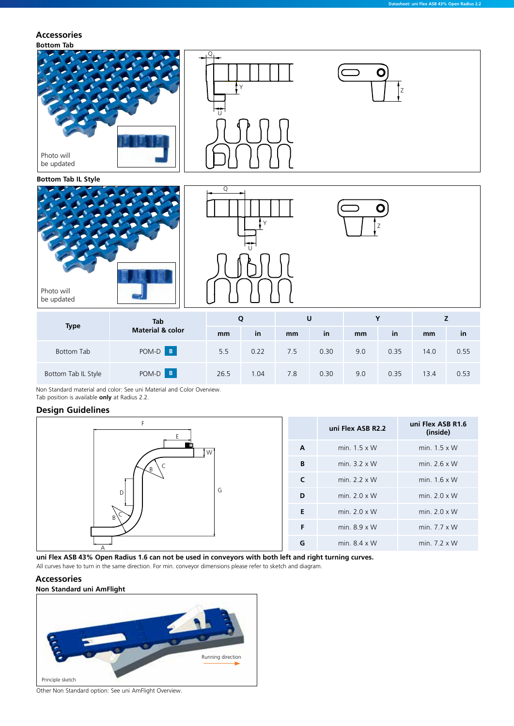### **Accessories**

#### **Bottom Tab**



Non Standard material and color: See uni Material and Color Overview. Tab position is available **only** at Radius 2.2.

#### **Design Guidelines**



**uni Flex ASB 43% Open Radius 1.6 can not be used in conveyors with both left and right turning curves.**

All curves have to turn in the same direction. For min. conveyor dimensions please refer to sketch and diagram.

#### **Accessories**



Other Non Standard option: See uni AmFlight Overview.